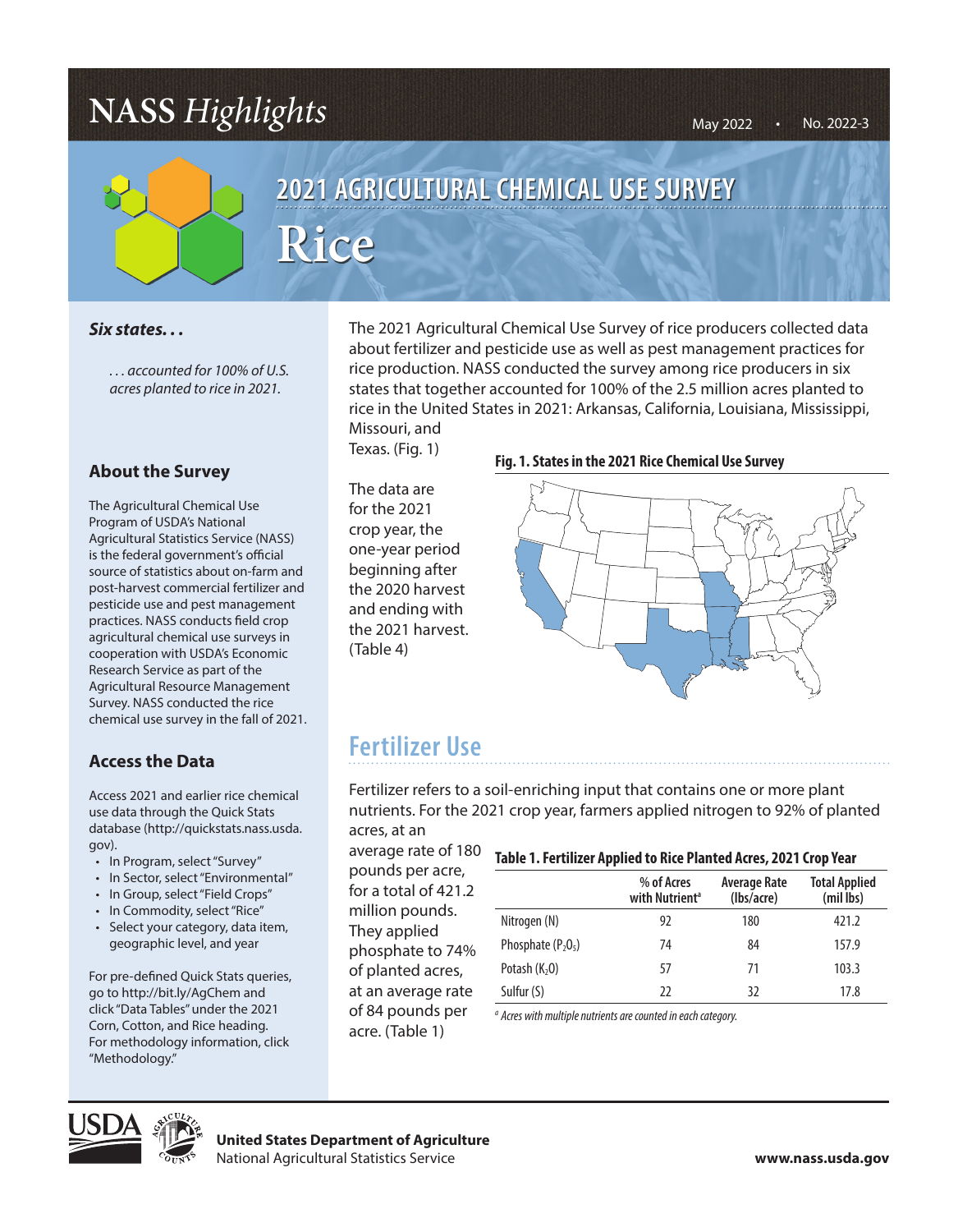## **NASS** *Highlights*



# 2021 AGRICULTURAL CHEMICAL USE SURVEY  $Rice$

### *Six states. . .*

*. . . accounted for 100% of U.S. acres planted to rice in 2021.*

### **About the Survey**

The Agricultural Chemical Use Program of USDA's National Agricultural Statistics Service (NASS) is the federal government's official source of statistics about on-farm and post-harvest commercial fertilizer and pesticide use and pest management practices. NASS conducts field crop agricultural chemical use surveys in cooperation with USDA's Economic Research Service as part of the Agricultural Resource Management Survey. NASS conducted the rice chemical use survey in the fall of 2021.

### **Access the Data**

Access 2021 and earlier rice chemical use data through the Quick Stats database (http://quickstats.nass.usda. gov).

- In Program, select "Survey"
- In Sector, select "Environmental"
- In Group, select "Field Crops"
- In Commodity, select "Rice"
- Select your category, data item, geographic level, and year

For pre-defined Quick Stats queries, go to http://bit.ly/AgChem and click "Data Tables" under the 2021 Corn, Cotton, and Rice heading. For methodology information, click "Methodology."

The 2021 Agricultural Chemical Use Survey of rice producers collected data about fertilizer and pesticide use as well as pest management practices for rice production. NASS conducted the survey among rice producers in six<br>
21. States that together accounted for 100% of the 2.5 million acres planted t states that together accounted for 100% of the 2.5 million acres planted to rice in the United States in 2021: Arkansas, California, Louisiana, Mississippi, Missiouri, and Missouri, and

Texas. (Fig. 1)

The data are for the 2021 crop year, the one-year period beginning after the 2020 harvest and ending with the 2021 harvest. (Table 4)

#### **Fig. 1. States in the 2021 Rice Chemical Use Survey**



### **Fertilizer Use**

Fertilizer refers to a soil-enriching input that contains one or more plant nutrients. For the 2021 crop year, farmers applied nitrogen to 92% of planted acres, at an

average rate of 180 pounds per acre, for a total of 421.2 million pounds. They applied phosphate to 74% of planted acres, at an average rate of 84 pounds per acre. (Table 1)

#### **Table 1. Fertilizer Applied to Rice Planted Acres, 2021 Crop Year**

|                      | % of Acres<br>with Nutrient <sup>a</sup> | Average Rate<br>(lbs/acre) | <b>Total Applied</b><br>(mil lbs) |  |
|----------------------|------------------------------------------|----------------------------|-----------------------------------|--|
| Nitrogen (N)         | 92                                       | 180                        | 421.2                             |  |
| Phosphate $(P_2O_5)$ | 74                                       | 84                         | 157.9                             |  |
| Potash $(K2O)$       | 57                                       | 71                         | 103.3                             |  |
| Sulfur (S)           | רר                                       | 32                         | 17.8                              |  |

*a Acres with multiple nutrients are counted in each category.*